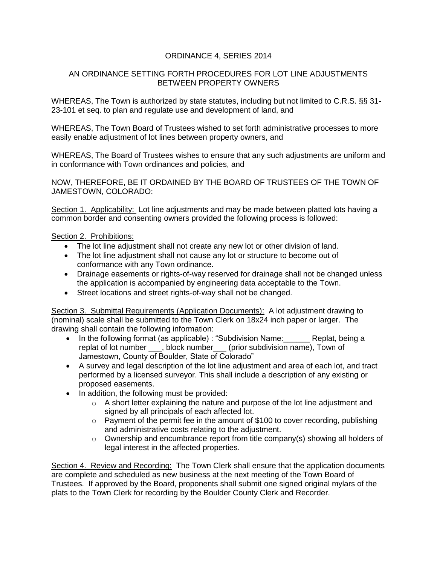## ORDINANCE 4, SERIES 2014

## AN ORDINANCE SETTING FORTH PROCEDURES FOR LOT LINE ADJUSTMENTS BETWEEN PROPERTY OWNERS

WHEREAS, The Town is authorized by state statutes, including but not limited to C.R.S. §§ 31- 23-101 et seq. to plan and regulate use and development of land, and

WHEREAS, The Town Board of Trustees wished to set forth administrative processes to more easily enable adjustment of lot lines between property owners, and

WHEREAS, The Board of Trustees wishes to ensure that any such adjustments are uniform and in conformance with Town ordinances and policies, and

NOW, THEREFORE, BE IT ORDAINED BY THE BOARD OF TRUSTEES OF THE TOWN OF JAMESTOWN, COLORADO:

Section 1. Applicability: Lot line adjustments and may be made between platted lots having a common border and consenting owners provided the following process is followed:

## Section 2. Prohibitions:

- The lot line adjustment shall not create any new lot or other division of land.
- The lot line adjustment shall not cause any lot or structure to become out of conformance with any Town ordinance.
- Drainage easements or rights-of-way reserved for drainage shall not be changed unless the application is accompanied by engineering data acceptable to the Town.
- Street locations and street rights-of-way shall not be changed.

Section 3. Submittal Requirements (Application Documents): A lot adjustment drawing to (nominal) scale shall be submitted to the Town Clerk on 18x24 inch paper or larger. The drawing shall contain the following information:

- In the following format (as applicable) : "Subdivision Name: Replat, being a replat of lot number \_\_\_, block number\_\_\_ (prior subdivision name), Town of Jamestown, County of Boulder, State of Colorado"
- A survey and legal description of the lot line adjustment and area of each lot, and tract performed by a licensed surveyor. This shall include a description of any existing or proposed easements.
- In addition, the following must be provided:
	- $\circ$  A short letter explaining the nature and purpose of the lot line adjustment and signed by all principals of each affected lot.
	- $\circ$  Payment of the permit fee in the amount of \$100 to cover recording, publishing and administrative costs relating to the adjustment.
	- $\circ$  Ownership and encumbrance report from title company(s) showing all holders of legal interest in the affected properties.

Section 4. Review and Recording: The Town Clerk shall ensure that the application documents are complete and scheduled as new business at the next meeting of the Town Board of Trustees. If approved by the Board, proponents shall submit one signed original mylars of the plats to the Town Clerk for recording by the Boulder County Clerk and Recorder.